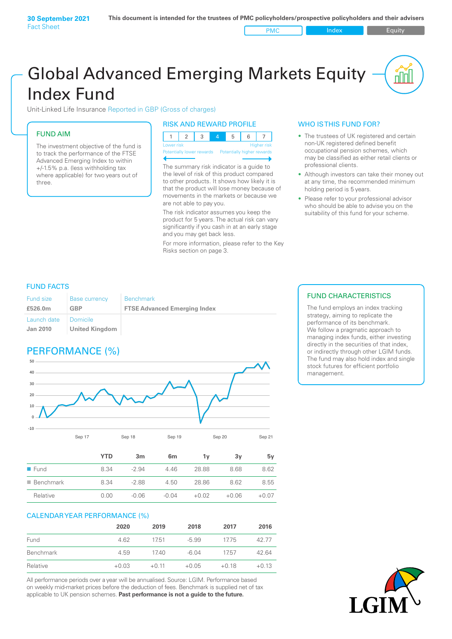# Global Advanced Emerging Markets Equity Index Fund

Unit-Linked Life Insurance Reported in GBP (Gross of charges)

# FUND AIM

The investment objective of the fund is to track the performance of the FTSE Advanced Emerging Index to within +/‑1.5% p.a. (less withholding tax where applicable) for two years out of three.

#### RISK AND REWARD PROFILE

| Lower risk |  |  | <b>Higher risk</b> |
|------------|--|--|--------------------|

ntially lower rewards

The summary risk indicator is a guide to the level of risk of this product compared to other products. It shows how likely it is that the product will lose money because of movements in the markets or because we are not able to pay you.

The risk indicator assumes you keep the product for 5 years. The actual risk can vary significantly if you cash in at an early stage and you may get back less.

For more information, please refer to the Key Risks section on page 3.

#### WHO IS THIS FUND FOR?

- The trustees of UK registered and certain non-UK registered defined benefit occupational pension schemes, which may be classified as either retail clients or professional clients.
- Although investors can take their money out at any time, the recommended minimum holding period is 5 years.
- Please refer to your professional advisor who should be able to advise you on the suitability of this fund for your scheme.

#### FUND FACTS

| <b>Fund size</b>               | <b>Base currency</b>         | <b>Benchmark</b>                    |
|--------------------------------|------------------------------|-------------------------------------|
| £526.0m                        | GBP                          | <b>FTSE Advanced Emerging Index</b> |
| Launch date<br><b>Jan 2010</b> | I Domicile<br>United Kingdom |                                     |

# PERFORMANCE (%)



|                          | YTD  | 3m      | 6 <sub>m</sub> | 1۷      | 3v      | 5v      |
|--------------------------|------|---------|----------------|---------|---------|---------|
| $\blacksquare$ Fund      | 8.34 | $-2.94$ | 4.46           | 28.88   | 8.68    | 8.62    |
| $\blacksquare$ Benchmark | 8.34 | $-2.88$ | 4.50           | 28.86   | 8.62    | 8.55    |
| Relative                 | 0.00 | $-0.06$ | $-0.04$        | $+0.02$ | $+0.06$ | $+0.07$ |

#### CALENDAR YEAR PERFORMANCE (%)

|           | 2020    | 2019    | 2018    | 2017    | 2016    |
|-----------|---------|---------|---------|---------|---------|
| Fund      | 4.62    | 1751    | $-5.99$ | 1775    | 42.77   |
| Benchmark | 4.59    | 17.40   | $-6.04$ | 1757    | 42.64   |
| Relative  | $+0.03$ | $+0.11$ | $+0.05$ | $+0.18$ | $+0.13$ |

All performance periods over a year will be annualised. Source: LGIM. Performance based on weekly mid-market prices before the deduction of fees. Benchmark is supplied net of tax applicable to UK pension schemes. **Past performance is not a guide to the future.**

### FUND CHARACTERISTICS

The fund employs an index tracking strategy, aiming to replicate the performance of its benchmark. We follow a pragmatic approach to managing index funds, either investing directly in the securities of that index, or indirectly through other LGIM funds. The fund may also hold index and single stock futures for efficient portfolio management.

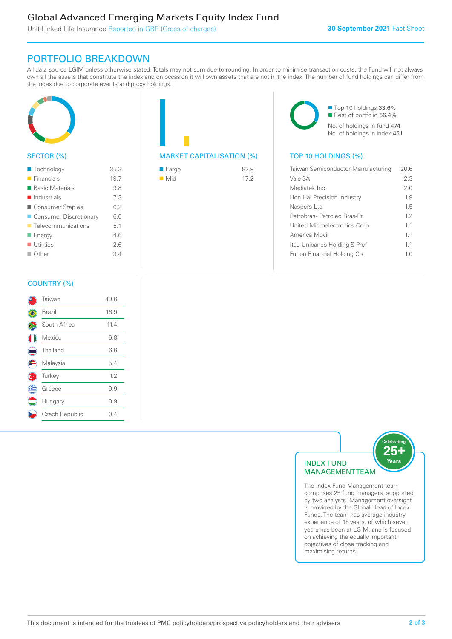# Global Advanced Emerging Markets Equity Index Fund

Unit-Linked Life Insurance Reported in GBP (Gross of charges)

# PORTFOLIO BREAKDOWN

All data source LGIM unless otherwise stated. Totals may not sum due to rounding. In order to minimise transaction costs, the Fund will not always own all the assets that constitute the index and on occasion it will own assets that are not in the index. The number of fund holdings can differ from the index due to corporate events and proxy holdings.



#### SECTOR (%)

| ■ Technology               | 35.3 |
|----------------------------|------|
| $\blacksquare$ Financials  | 19.7 |
| ■ Basic Materials          | 9.8  |
| $\blacksquare$ Industrials | 7.3  |
| ■ Consumer Staples         | 6.2  |
| ■ Consumer Discretionary   | 6.0  |
| ■ Telecommunications       | 5.1  |
| ■ Energy                   | 46   |
| $\blacksquare$ Utilities   | 26   |
| $\blacksquare$ Other       | 34   |
|                            |      |

| <b>MARKET CAPITALISATION (%)</b> |  |
|----------------------------------|--|

| ■ Large            | 82.9 |
|--------------------|------|
| $\blacksquare$ Mid | 172  |

■ Top 10 holdings 33.6% Rest of portfolio 66.4% No. of holdings in fund 474 No. of holdings in index 451

#### TOP 10 HOLDINGS (%)

| Taiwan Semiconductor Manufacturing | 20.6 |
|------------------------------------|------|
| Vale SA                            | 2.3  |
| Mediatek Inc                       | 2.0  |
| Hon Hai Precision Industry         | 19   |
| Naspers Ltd                        | 1.5  |
| Petrobras-Petroleo Bras-Pr         | 12   |
| United Microelectronics Corp       | 11   |
| America Movil                      | 11   |
| Itau Unibanco Holding S-Pref       | 11   |
| <b>Fubon Financial Holding Co</b>  | 10   |
|                                    |      |

#### COUNTRY (%)

|   | Taiwan         | 49.6 |
|---|----------------|------|
|   | Brazil         | 16.9 |
|   | South Africa   | 11.4 |
|   | Mexico         | 6.8  |
|   | Thailand       | 6.6  |
|   | Malaysia       | 5.4  |
|   | Turkey         | 1.2  |
| Ê | Greece         | 0.9  |
|   | Hungary        | 0.9  |
|   | Czech Republic | 0.4  |
|   |                |      |



comprises 25 fund managers, supported by two analysts. Management oversight is provided by the Global Head of Index Funds. The team has average industry experience of 15 years, of which seven years has been at LGIM, and is focused on achieving the equally important objectives of close tracking and maximising returns.